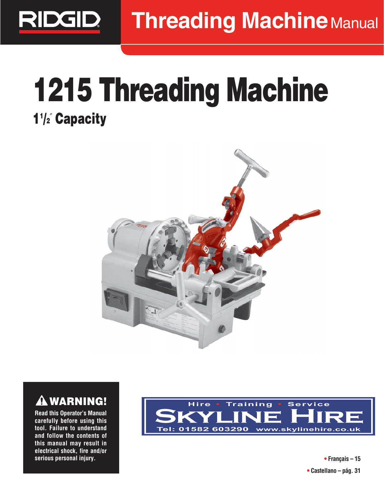

## **1215 Threading Machine 11 /2**″ **Capacity**





**Read this Operator's Manual carefully before using this tool. Failure to understand and follow the contents of this manual may result in electrical shock, fire and/or serious personal injury.**



**• Français – 15 • Castellano – pág. 31**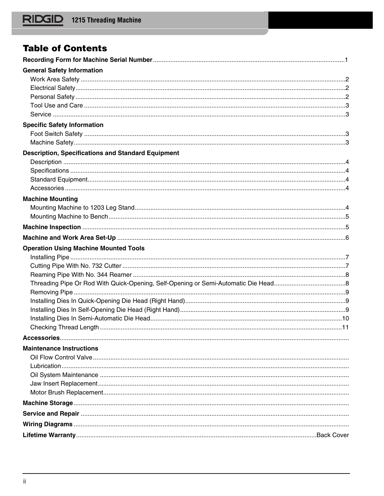## **Table of Contents**

| <b>General Safety Information</b>                         |  |
|-----------------------------------------------------------|--|
|                                                           |  |
|                                                           |  |
|                                                           |  |
|                                                           |  |
|                                                           |  |
| <b>Specific Safety Information</b>                        |  |
|                                                           |  |
|                                                           |  |
| <b>Description, Specifications and Standard Equipment</b> |  |
|                                                           |  |
|                                                           |  |
|                                                           |  |
|                                                           |  |
| <b>Machine Mounting</b>                                   |  |
|                                                           |  |
|                                                           |  |
|                                                           |  |
|                                                           |  |
| <b>Operation Using Machine Mounted Tools</b>              |  |
|                                                           |  |
|                                                           |  |
|                                                           |  |
|                                                           |  |
|                                                           |  |
|                                                           |  |
|                                                           |  |
|                                                           |  |
|                                                           |  |
|                                                           |  |
| <b>Maintenance Instructions</b>                           |  |
|                                                           |  |
|                                                           |  |
|                                                           |  |
|                                                           |  |
|                                                           |  |
|                                                           |  |
|                                                           |  |
|                                                           |  |
|                                                           |  |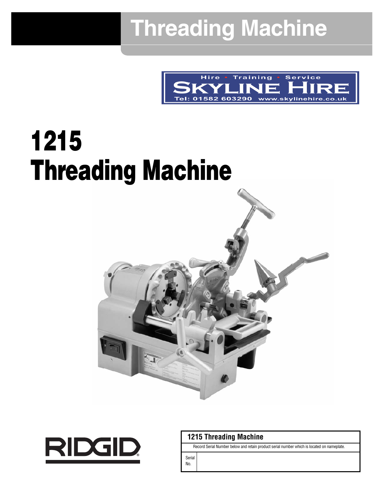## **Threading Machine**



# **1215 Threading Machine**





## **1215 Threading Machine**

Record Serial Number below and retain product serial number which is located on nameplate.

Serial No.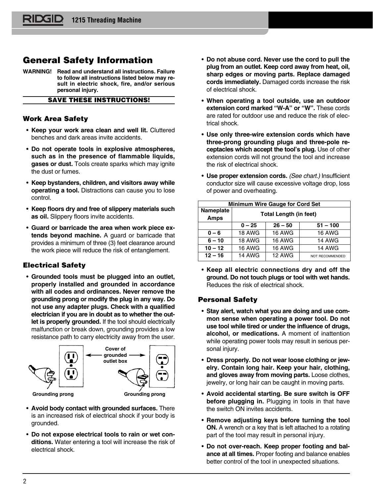## **General Safety Information**

**WARNING! Read and understand all instructions. Failure to follow all instructions listed below may result in electric shock, fire, and/or serious personal injury.**

## **SAVE THESE INSTRUCTIONS!**

### **Work Area Safety**

- **Keep your work area clean and well lit.** Cluttered benches and dark areas invite accidents.
- **Do not operate tools in explosive atmospheres, such as in the presence of flammable liquids, gases or dust.** Tools create sparks which may ignite the dust or fumes.
- **Keep bystanders, children, and visitors away while operating a tool.** Distractions can cause you to lose control.
- **Keep floors dry and free of slippery materials such as oil.** Slippery floors invite accidents.
- **Guard or barricade the area when work piece extends beyond machine.** A guard or barricade that provides a minimum of three (3) feet clearance around the work piece will reduce the risk of entanglement.

## **Electrical Safety**

• **Grounded tools must be plugged into an outlet, properly installed and grounded in accordance with all codes and ordinances. Never remove the grounding prong or modify the plug in any way. Do not use any adapter plugs. Check with a qualified electrician if you are in doubt as to whether the outlet is properly grounded.** If the tool should electrically malfunction or break down, grounding provides a low resistance path to carry electricity away from the user.



- **Avoid body contact with grounded surfaces.** There is an increased risk of electrical shock if your body is grounded.
- **Do not expose electrical tools to rain or wet conditions.** Water entering a tool will increase the risk of electrical shock.
- **Do not abuse cord. Never use the cord to pull the plug from an outlet. Keep cord away from heat, oil, sharp edges or moving parts. Replace damaged cords immediately.** Damaged cords increase the risk of electrical shock.
- **When operating a tool outside, use an outdoor extension cord marked "W-A" or "W".** These cords are rated for outdoor use and reduce the risk of electrical shock.
- **Use only three-wire extension cords which have three-prong grounding plugs and three-pole receptacles which accept the tool's plug.** Use of other extension cords will not ground the tool and increase the risk of electrical shock.
- **Use proper extension cords.** (See chart.) Insufficient conductor size will cause excessive voltage drop, loss of power and overheating.

| <b>Minimum Wire Gauge for Cord Set</b> |                               |               |                 |  |
|----------------------------------------|-------------------------------|---------------|-----------------|--|
| <b>Nameplate</b><br><b>Amps</b>        | <b>Total Length (in feet)</b> |               |                 |  |
|                                        | $0 - 25$                      | $26 - 50$     | $51 - 100$      |  |
| $0 - 6$                                | <b>18 AWG</b>                 | <b>16 AWG</b> | <b>16 AWG</b>   |  |
| $6 - 10$                               | <b>18 AWG</b>                 | <b>16 AWG</b> | <b>14 AWG</b>   |  |
| $10 - 12$                              | <b>16 AWG</b>                 | <b>16 AWG</b> | <b>14 AWG</b>   |  |
| $12 - 16$                              | <b>14 AWG</b>                 | <b>12 AWG</b> | NOT RECOMMENDED |  |

• **Keep all electric connections dry and off the ground. Do not touch plugs or tool with wet hands.** Reduces the risk of electrical shock.

## **Personal Safety**

- **Stay alert, watch what you are doing and use common sense when operating a power tool. Do not use tool while tired or under the influence of drugs, alcohol, or medications.** A moment of inattention while operating power tools may result in serious personal injury.
- **Dress properly. Do not wear loose clothing or jewelry. Contain long hair. Keep your hair, clothing, and gloves away from moving parts.** Loose clothes, jewelry, or long hair can be caught in moving parts.
- **Avoid accidental starting. Be sure switch is OFF before plugging in.** Plugging in tools in that have the switch ON invites accidents.
- **Remove adjusting keys before turning the tool ON.** A wrench or a key that is left attached to a rotating part of the tool may result in personal injury.
- **Do not over-reach. Keep proper footing and balance at all times.** Proper footing and balance enables better control of the tool in unexpected situations.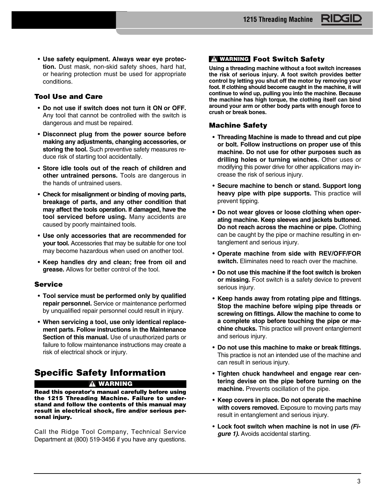• **Use safety equipment. Always wear eye protection.** Dust mask, non-skid safety shoes, hard hat, or hearing protection must be used for appropriate conditions.

## **Tool Use and Care**

- **Do not use if switch does not turn it ON or OFF.** Any tool that cannot be controlled with the switch is dangerous and must be repaired.
- **Disconnect plug from the power source before making any adjustments, changing accessories, or storing the tool.** Such preventive safety measures reduce risk of starting tool accidentally.
- **Store idle tools out of the reach of children and other untrained persons.** Tools are dangerous in the hands of untrained users.
- **Check for misalignment or binding of moving parts, breakage of parts, and any other condition that may affect the tools operation. If damaged, have the tool serviced before using.** Many accidents are caused by poorly maintained tools.
- **Use only accessories that are recommended for your tool.** Accessories that may be suitable for one tool may become hazardous when used on another tool.
- **Keep handles dry and clean; free from oil and grease.** Allows for better control of the tool.

#### **Service**

- **Tool service must be performed only by qualified repair personnel.** Service or maintenance performed by unqualified repair personnel could result in injury.
- **When servicing a tool, use only identical replacement parts. Follow instructions in the Maintenance Section of this manual.** Use of unauthorized parts or failure to follow maintenance instructions may create a risk of electrical shock or injury.

## **Specific Safety Information**

#### **WARNING**

**Read this operator's manual carefully before using the 1215 Threading Machine. Failure to understand and follow the contents of this manual may result in electrical shock, fire and/or serious personal injury.**

Call the Ridge Tool Company, Technical Service Department at (800) 519-3456 if you have any questions.

#### **Foot Switch Safety WARNING**

**Using a threading machine without a foot switch increases the risk of serious injury. A foot switch provides better control by letting you shut off the motor by removing your foot. If clothing should become caught in the machine, it will continue to wind up, pulling you into the machine. Because the machine has high torque, the clothing itself can bind around your arm or other body parts with enough force to crush or break bones.**

#### **Machine Safety**

- **Threading Machine is made to thread and cut pipe or bolt. Follow instructions on proper use of this machine. Do not use for other purposes such as drilling holes or turning winches.** Other uses or modifying this power drive for other applications may increase the risk of serious injury.
- **Secure machine to bench or stand. Support long heavy pipe with pipe supports.** This practice will prevent tipping.
- **Do not wear gloves or loose clothing when operating machine. Keep sleeves and jackets buttoned. Do not reach across the machine or pipe.** Clothing can be caught by the pipe or machine resulting in entanglement and serious injury.
- **Operate machine from side with REV/OFF/FOR switch.** Eliminates need to reach over the machine.
- **Do not use this machine if the foot switch is broken or missing.** Foot switch is a safety device to prevent serious injury.
- **Keep hands away from rotating pipe and fittings. Stop the machine before wiping pipe threads or screwing on fittings. Allow the machine to come to a complete stop before touching the pipe or machine chucks.** This practice will prevent entanglement and serious injury.
- **Do not use this machine to make or break fittings.** This practice is not an intended use of the machine and can result in serious injury.
- **Tighten chuck handwheel and engage rear centering devise on the pipe before turning on the machine.** Prevents oscillation of the pipe.
- **Keep covers in place. Do not operate the machine with covers removed.** Exposure to moving parts may result in entanglement and serious injury.
- **Lock foot switch when machine is not in use (Fi gure 1).** Avoids accidental starting.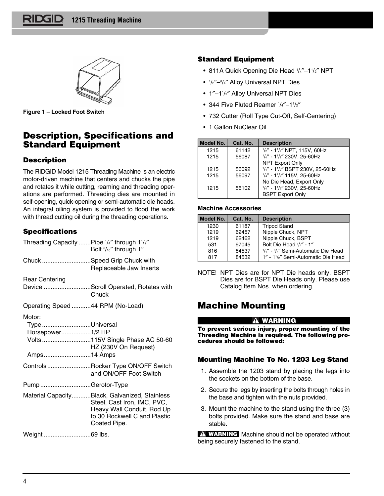

**Figure 1 – Locked Foot Switch**

## **Description, Specifications and Standard Equipment**

## **Description**

The RIDGID Model 1215 Threading Machine is an electric motor-driven machine that centers and chucks the pipe and rotates it while cutting, reaming and threading operations are performed. Threading dies are mounted in self-opening, quick-opening or semi-automatic die heads. An integral oiling system is provided to flood the work with thread cutting oil during the threading operations.

## **Specifications**

| Threading Capacity  Pipe '/4" through 1'/2"                | Bolt 5/16" through 1"                                                                                                                                      |
|------------------------------------------------------------|------------------------------------------------------------------------------------------------------------------------------------------------------------|
| Chuck Speed Grip Chuck with                                | Replaceable Jaw Inserts                                                                                                                                    |
| <b>Rear Centering</b>                                      |                                                                                                                                                            |
|                                                            | Device Scroll Operated, Rotates with<br>Chuck                                                                                                              |
| Operating Speed 44 RPM (No-Load)                           |                                                                                                                                                            |
| Motor:<br>TypeUniversal<br>Horsepower1/2 HP<br>Amps14 Amps | Volts115V Single Phase AC 50-60<br>HZ (230V On Request)                                                                                                    |
|                                                            | ControlsRocker Type ON/OFF Switch<br>and ON/OFF Foot Switch                                                                                                |
| PumpGerotor-Type                                           |                                                                                                                                                            |
|                                                            | Material CapacityBlack, Galvanized, Stainless<br>Steel, Cast Iron, IMC, PVC,<br>Heavy Wall Conduit. Rod Up<br>to 30 Rockwell C and Plastic<br>Coated Pipe. |
| Weight69 lbs.                                              |                                                                                                                                                            |

## **Standard Equipment**

- 811A Quick Opening Die Head 1 /4″–11 /2″ NPT
- <sup>1</sup> /2″–3 /4″ Alloy Universal NPT Dies
- 1″–11 /2″ Alloy Universal NPT Dies
- 344 Five Fluted Reamer  $\frac{1}{4}$ -1 $\frac{1}{2}$ "
- 732 Cutter (Roll Type Cut-Off, Self-Centering)
- 1 Gallon NuClear Oil

| Model No. | Cat. No. | <b>Description</b>                                  |
|-----------|----------|-----------------------------------------------------|
| 1215      | 61142    | $\frac{1}{2}$ " - 1 $\frac{1}{2}$ " NPT, 115V, 60Hz |
| 1215      | 56087    | $1/4'' - 11/2''$ 230V, 25-60Hz                      |
|           |          | <b>NPT Export Only</b>                              |
| 1215      | 56092    | 1/4" - 11/2" BSPT 230V, 25-60Hz                     |
| 1215      | 56097    | $1/4'' - 11/2''$ 115V, 25-60Hz                      |
|           |          | No Die Head, Export Only                            |
| 1215      | 56102    | $\frac{1}{4}$ " - 1 $\frac{1}{2}$ " 230V, 25-60Hz   |
|           |          | <b>BSPT Export Only</b>                             |

#### **Machine Accessories**

| Model No. | Cat. No. | <b>Description</b>                  |
|-----------|----------|-------------------------------------|
| 1230      | 61187    | <b>Tripod Stand</b>                 |
| 1219      | 62457    | Nipple Chuck, NPT                   |
| 1219      | 62462    | Nipple Chuck, BSPT                  |
| 531       | 97045    | Bolt Die Head 1/4" - 1"             |
| 816       | 84537    | 1/4" - 3/4" Semi-Automatic Die Head |
| 817       | 84532    | 1" - 11/2" Semi-Automatic Die Head  |

NOTE! NPT Dies are for NPT Die heads only. BSPT Dies are for BSPT Die Heads only. Please use Catalog Item Nos. when ordering.

## **Machine Mounting**

#### **WARNING**

**To prevent serious injury, proper mounting of the Threading Machine is required. The following procedures should be followed:**

## **Mounting Machine To No. 1203 Leg Stand**

- 1. Assemble the 1203 stand by placing the legs into the sockets on the bottom of the base.
- 2. Secure the legs by inserting the bolts through holes in the base and tighten with the nuts provided.
- 3. Mount the machine to the stand using the three (3) bolts provided. Make sure the stand and base are stable.

Machine should not be operated without **WARNING**being securely fastened to the stand.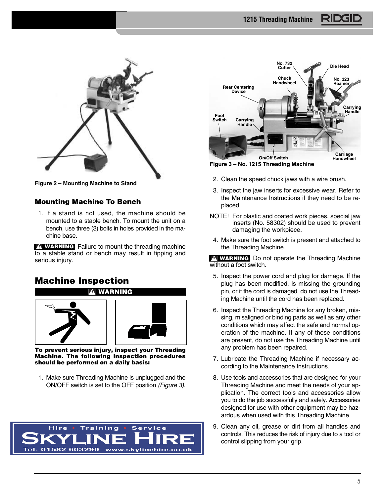

**Figure 2 – Mounting Machine to Stand**

#### **Mounting Machine To Bench**

1. If a stand is not used, the machine should be mounted to a stable bench. To mount the unit on a bench, use three (3) bolts in holes provided in the machine base.

**WARNING** Failure to mount the threading machine to a stable stand or bench may result in tipping and serious injury.

## **Machine Inspection**





**To prevent serious injury, inspect your Threading Machine. The following inspection procedures should be performed on a daily basis:**

1. Make sure Threading Machine is unplugged and the ON/OFF switch is set to the OFF position (Figure 3).





**Figure 3 – No. 1215 Threading Machine**

- 2. Clean the speed chuck jaws with a wire brush.
- 3. Inspect the jaw inserts for excessive wear. Refer to the Maintenance Instructions if they need to be replaced.
- NOTE! For plastic and coated work pieces, special jaw inserts (No. 58302) should be used to prevent damaging the workpiece.
- 4. Make sure the foot switch is present and attached to the Threading Machine.

Do not operate the Threading Machine **WARNING** without a foot switch.

- 5. Inspect the power cord and plug for damage. If the plug has been modified, is missing the grounding pin, or if the cord is damaged, do not use the Threading Machine until the cord has been replaced.
- 6. Inspect the Threading Machine for any broken, mis sing, misaligned or binding parts as well as any other conditions which may affect the safe and normal operation of the machine. If any of these conditions are present, do not use the Threading Machine until any problem has been repaired.
- 7. Lubricate the Threading Machine if necessary according to the Maintenance Instructions.
- 8. Use tools and accessories that are designed for your Threading Machine and meet the needs of your application. The correct tools and accessories allow you to do the job successfully and safely. Accessories designed for use with other equipment may be hazardous when used with this Threading Machine.
- 9. Clean any oil, grease or dirt from all handles and controls. This reduces the risk of injury due to a tool or control slipping from your grip.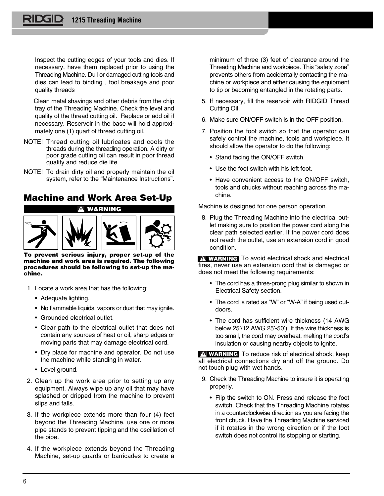Inspect the cutting edges of your tools and dies. If necessary, have them replaced prior to using the Threading Machine. Dull or damaged cutting tools and dies can lead to binding , tool breakage and poor quality threads

Clean metal shavings and other debris from the chip tray of the Threading Machine. Check the level and quality of the thread cutting oil. Replace or add oil if necessary. Reservoir in the base will hold approximately one (1) quart of thread cutting oil.

- NOTE! Thread cutting oil lubricates and cools the threads during the threading operation. A dirty or poor grade cutting oil can result in poor thread quality and reduce die life.
- NOTE! To drain dirty oil and properly maintain the oil system, refer to the "Maintenance Instructions".

## **Machine and Work Area Set-Up**



**To prevent serious injury, proper set-up of the machine and work area is required. The following procedures should be following to set-up the machine.**

- 1. Locate a work area that has the following:
	- Adequate lighting.
	- No flammable liquids, vapors or dust that may ignite.
	- Grounded electrical outlet.
	- Clear path to the electrical outlet that does not contain any sources of heat or oil, sharp edges or moving parts that may damage electrical cord.
	- Dry place for machine and operator. Do not use the machine while standing in water.
	- Level ground.
- 2. Clean up the work area prior to setting up any equipment. Always wipe up any oil that may have splashed or dripped from the machine to prevent slips and falls.
- 3. If the workpiece extends more than four (4) feet beyond the Threading Machine, use one or more pipe stands to prevent tipping and the oscillation of the pipe.
- 4. If the workpiece extends beyond the Threading Machine, set-up guards or barricades to create a

minimum of three (3) feet of clearance around the Threading Machine and workpiece. This "safety zone" prevents others from accidentally contacting the machine or workpiece and either causing the equipment to tip or becoming entangled in the rotating parts.

- 5. If necessary, fill the reservoir with RIDGID Thread Cutting Oil.
- 6. Make sure ON/OFF switch is in the OFF position.
- 7. Position the foot switch so that the operator can safely control the machine, tools and workpiece. It should allow the operator to do the following:
	- Stand facing the ON/OFF switch.
	- Use the foot switch with his left foot.
	- Have convenient access to the ON/OFF switch, tools and chucks without reaching across the machine.

Machine is designed for one person operation.

8. Plug the Threading Machine into the electrical outlet making sure to position the power cord along the clear path selected earlier. If the power cord does not reach the outlet, use an extension cord in good condition.

**WARNING** To avoid electrical shock and electrical fires, never use an extension cord that is damaged or does not meet the following requirements:

- The cord has a three-prong plug similar to shown in Electrical Safety section.
- The cord is rated as "W" or "W-A" if being used outdoors.
- The cord has sufficient wire thickness (14 AWG below 25′/12 AWG 25′-50′). If the wire thickness is too small, the cord may overheat, melting the cord's insulation or causing nearby objects to ignite.

**WARNING** To reduce risk of electrical shock, keep all electrical connections dry and off the ground. Do not touch plug with wet hands.

- 9. Check the Threading Machine to insure it is operating properly.
	- Flip the switch to ON. Press and release the foot switch. Check that the Threading Machine rotates in a counterclockwise direction as you are facing the front chuck. Have the Threading Machine serviced if it rotates in the wrong direction or if the foot switch does not control its stopping or starting.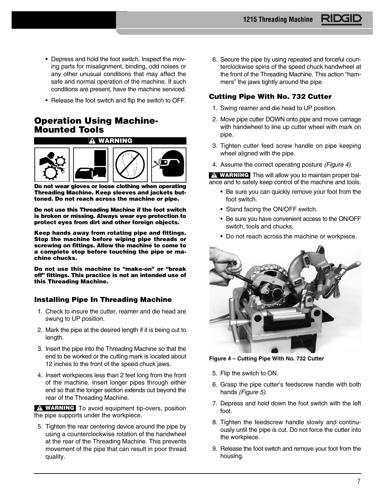- Depress and hold the foot switch. Inspect the moving parts for misalignment, binding, odd noises or any other unusual conditions that may affect the safe and normal operation of the machine. If such conditions are present, have the machine serviced.
- Release the foot switch and flip the switch to OFF.

## **Operation Using Machine-Mounted Tools**



**Do not wear gloves or loose clothing when operating Threading Machine. Keep sleeves and jackets buttoned. Do not reach across the machine or pipe.**

**Do not use this Threading Machine if the foot switch is broken or missing. Always wear eye protection to protect eyes from dirt and other foreign objects.**

**Keep hands away from rotating pipe and fittings. Stop the machine before wiping pipe threads or screwing on fittings. Allow the machine to come to a complete stop before touching the pipe or machine chucks.**

**Do not use this machine to "make-on" or "break off" fittings. This practice is not an intended use of this Threading Machine.**

## **Installing Pipe In Threading Machine**

- 1. Check to insure the cutter, reamer and die head are swung to UP position.
- 2. Mark the pipe at the desired length if it is being cut to length.
- 3. Insert the pipe into the Threading Machine so that the end to be worked or the cutting mark is located about 12 inches to the front of the speed chuck jaws.
- 4. Insert workpieces less than 2 feet long from the front of the machine. Insert longer pipes through either end so that the longer section extends out beyond the rear of the Threading Machine.

**WARNING** To avoid equipment tip-overs, position the pipe supports under the workpiece.

5. Tighten the rear centering device around the pipe by using a counterclockwise rotation of the handwheel at the rear of the Threading Machine. This prevents movement of the pipe that can result in poor thread quality.

6. Secure the pipe by using repeated and forceful counterclockwise spins of the speed chuck handwheel at the front of the Threading Machine. This action "hammers" the jaws tightly around the pipe.

## **Cutting Pipe With No. 732 Cutter**

- 1. Swing reamer and die head to UP position.
- 2. Move pipe cutter DOWN onto pipe and move carriage with handwheel to line up cutter wheel with mark on pipe.
- 3. Tighten cutter feed screw handle on pipe keeping wheel aligned with the pipe.
- 4. Assume the correct operating posture (Figure 4).

**WARNING** This will allow you to maintain proper balance and to safely keep control of the machine and tools.

- Be sure you can quickly remove your foot from the foot switch.
- Stand facing the ON/OFF switch.
- Be sure you have convenient access to the ON/OFF switch, tools and chucks.
- Do not reach across the machine or workpiece.



**Figure 4 – Cutting Pipe With No. 732 Cutter**

- 5. Flip the switch to ON.
- 6. Grasp the pipe cutter's feedscrew handle with both hands (Figure 5).
- 7. Depress and hold down the foot switch with the left foot.
- 8. Tighten the feedscrew handle slowly and continuously until the pipe is cut. Do not force the cutter into the workpiece.
- 9. Release the foot switch and remove your foot from the housing.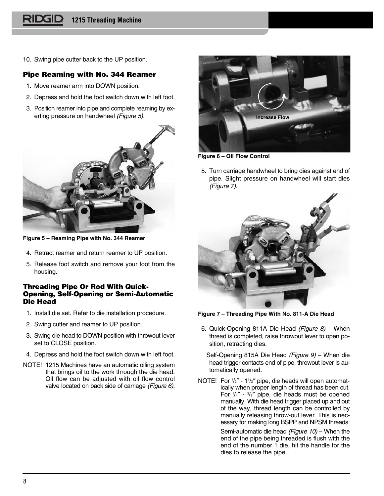10. Swing pipe cutter back to the UP position.

### **Pipe Reaming with No. 344 Reamer**

- 1. Move reamer arm into DOWN position.
- 2. Depress and hold the foot switch down with left foot.
- 3. Position reamer into pipe and complete reaming by exerting pressure on handwheel (Figure 5).



**Figure 5 – Reaming Pipe with No. 344 Reamer**

- 4. Retract reamer and return reamer to UP position.
- 5. Release foot switch and remove your foot from the housing.

#### **Threading Pipe Or Rod With Quick-Opening, Self-Opening or Semi-Automatic Die Head**

- 1. Install die set. Refer to die installation procedure.
- 2. Swing cutter and reamer to UP position.
- 3. Swing die head to DOWN position with throwout lever set to CLOSE position.
- 4. Depress and hold the foot switch down with left foot.
- NOTE! 1215 Machines have an automatic oiling system that brings oil to the work through the die head. Oil flow can be adjusted with oil flow control valve located on back side of carriage (Figure 6).



**Figure 6 – Oil Flow Control**

5. Turn carriage handwheel to bring dies against end of pipe. Slight pressure on handwheel will start dies (Figure 7).



**Figure 7 – Threading Pipe With No. 811-A Die Head**

6. Quick-Opening 811A Die Head (Figure  $8$ ) – When thread is completed, raise throwout lever to open position, retracting dies.

Self-Opening 815A Die Head (Figure 9) – When die head trigger contacts end of pipe, throwout lever is automatically opened.

NOTE! For  $\frac{1}{2}$ " - 1 $\frac{1}{2}$ " pipe, die heads will open automatically when proper length of thread has been cut. For 1 /4″ - 3 /8″ pipe, die heads must be opened manually. With die head trigger placed up and out of the way, thread length can be controlled by manually releasing throw-out lever. This is necessary for making long BSPP and NPSM threads.

> Semi-automatic die head (Figure 10) – When the end of the pipe being threaded is flush with the end of the number 1 die, hit the handle for the dies to release the pipe.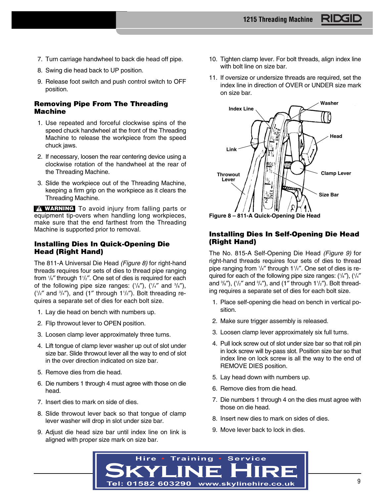- 7. Turn carriage handwheel to back die head off pipe.
- 8. Swing die head back to UP position.
- 9. Release foot switch and push control switch to OFF position.

#### **Removing Pipe From The Threading Machine**

- 1. Use repeated and forceful clockwise spins of the speed chuck handwheel at the front of the Threading Machine to release the workpiece from the speed chuck jaws.
- 2. If necessary, loosen the rear centering device using a clockwise rotation of the handwheel at the rear of the Threading Machine.
- 3. Slide the workpiece out of the Threading Machine, keeping a firm grip on the workpiece as it clears the Threading Machine.

**WARNING** To avoid injury from falling parts or equipment tip-overs when handling long workpieces, make sure that the end farthest from the Threading Machine is supported prior to removal.

#### **Installing Dies In Quick-Opening Die Head (Right Hand)**

The 811-A Universal Die Head (Figure 8) for right-hand threads requires four sets of dies to thread pipe ranging from 1 /8″ through 11 /2″. One set of dies is required for each of the following pipe size ranges:  $(\frac{1}{8})$ ,  $(\frac{1}{4}$  and  $\frac{3}{8})$ ,  $(1/2)$ <sup>*'n*</sup> and  $(1)$ <sup>'</sup> through  $1^{1/2}$ ''). Bolt threading requires a separate set of dies for each bolt size.

- 1. Lay die head on bench with numbers up.
- 2. Flip throwout lever to OPEN position.
- 3. Loosen clamp lever approximately three turns.
- 4. Lift tongue of clamp lever washer up out of slot under size bar. Slide throwout lever all the way to end of slot in the over direction indicated on size bar.
- 5. Remove dies from die head.
- 6. Die numbers 1 through 4 must agree with those on die head.
- 7. Insert dies to mark on side of dies.
- 8. Slide throwout lever back so that tongue of clamp lever washer will drop in slot under size bar.
- 9. Adjust die head size bar until index line on link is aligned with proper size mark on size bar.
- 10. Tighten clamp lever. For bolt threads, align index line with bolt line on size bar.
- 11. If oversize or undersize threads are required, set the index line in direction of OVER or UNDER size mark on size bar.





## **Installing Dies In Self-Opening Die Head (Right Hand)**

The No. 815-A Self-Opening Die Head (Figure 9) for right-hand threads requires four sets of dies to thread pipe ranging from 1/s" through 11/2". One set of dies is required for each of the following pipe size ranges: (1/s"), (1/4" and  $\frac{3}{8}$ "), ( $\frac{1}{2}$ " and  $\frac{3}{4}$ "), and (1" through 1 $\frac{1}{2}$ "). Bolt threading requires a separate set of dies for each bolt size.

- 1. Place self-opening die head on bench in vertical position.
- 2. Make sure trigger assembly is released.
- 3. Loosen clamp lever approximately six full turns.
- 4. Pull lock screw out of slot under size bar so that roll pin in lock screw will by-pass slot. Position size bar so that index line on lock screw is all the way to the end of REMOVE DIES position.
- 5. Lay head down with numbers up.
- 6. Remove dies from die head.
- 7. Die numbers 1 through 4 on the dies must agree with those on die head.
- 8. Insert new dies to mark on sides of dies.
- 9. Move lever back to lock in dies.

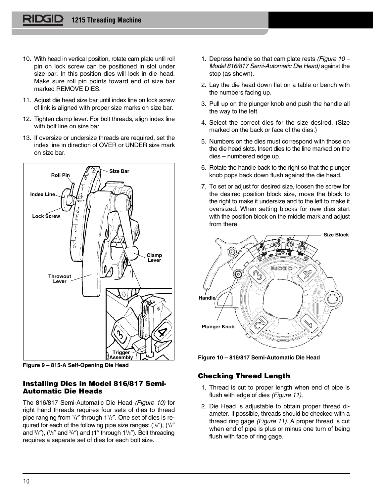- 10. With head in vertical position, rotate cam plate until roll pin on lock screw can be positioned in slot under size bar. In this position dies will lock in die head. Make sure roll pin points toward end of size bar marked REMOVE DIES.
- 11. Adjust die head size bar until index line on lock screw of link is aligned with proper size marks on size bar.
- 12. Tighten clamp lever. For bolt threads, align index line with bolt line on size bar.
- 13. If oversize or undersize threads are required, set the index line in direction of OVER or UNDER size mark on size bar.



**Figure 9 – 815-A Self-Opening Die Head**

## **Installing Dies In Model 816/817 Semi-Automatic Die Heads**

The 816/817 Semi-Automatic Die Head (Figure 10) for right hand threads requires four sets of dies to thread pipe ranging from 1/s" through 11/2". One set of dies is required for each of the following pipe size ranges: (1/s"), (1/4" and  $\frac{3}{8}$ "), ( $\frac{1}{2}$ " and  $\frac{3}{4}$ ") and (1" through 1 $\frac{1}{2}$ "). Bolt threading requires a separate set of dies for each bolt size.

- 1. Depress handle so that cam plate rests (Figure  $10 -$ Model 816/817 Semi-Automatic Die Head) against the stop (as shown).
- 2. Lay the die head down flat on a table or bench with the numbers facing up.
- 3. Pull up on the plunger knob and push the handle all the way to the left.
- 4. Select the correct dies for the size desired. (Size marked on the back or face of the dies.)
- 5. Numbers on the dies must correspond with those on the die head slots. Insert dies to the line marked on the dies – numbered edge up.
- 6. Rotate the handle back to the right so that the plunger knob pops back down flush against the die head.
- 7. To set or adjust for desired size, loosen the screw for the desired position block size, move the block to the right to make it undersize and to the left to make it oversized. When setting blocks for new dies start with the position block on the middle mark and adjust from there.



**Figure 10 – 816/817 Semi-Automatic Die Head**

## **Checking Thread Length**

- 1. Thread is cut to proper length when end of pipe is flush with edge of dies (Figure 11).
- 2. Die Head is adjustable to obtain proper thread diameter. If possible, threads should be checked with a thread ring gage (Figure 11). A proper thread is cut when end of pipe is plus or minus one turn of being flush with face of ring gage.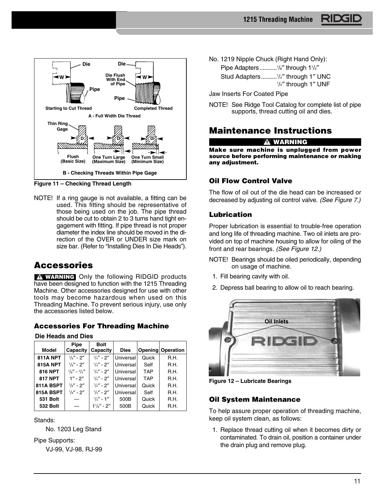

**Figure 11 – Checking Thread Length**

NOTE! If a ring gauge is not available, a fitting can be used. This fitting should be representative of those being used on the job. The pipe thread should be cut to obtain 2 to 3 turns hand tight engagement with fitting. If pipe thread is not proper diameter the index line should be moved in the direction of the OVER or UNDER size mark on size bar. (Refer to "Installing Dies In Die Heads").

## **Accessories**

**WARNING** Only the following RIDGID products have been designed to function with the 1215 Threading Machine. Other accessories designed for use with other tools may become hazardous when used on this Threading Machine. To prevent serious injury, use only the accessories listed below.

## **Accessories For Threading Machine**

**Die Heads and Dies**

| <b>Model</b>    | Pipe<br>Capacity                | <b>Bolt</b><br>Capacity | <b>Dies</b> |            | <b>Opening Operation</b> |
|-----------------|---------------------------------|-------------------------|-------------|------------|--------------------------|
| <b>811A NPT</b> | $^{1}/_{8}$ " - 2"              | $1/4'' - 2''$           | Universal   | Quick      | R.H.                     |
| <b>815A NPT</b> | $1/a'' - 2''$                   | $1/a'' - 2''$           | Universal   | Self       | R.H.                     |
| 816 NPT         | $1\frac{1}{8}$ - $3\frac{1}{4}$ | $1/a'' - 2''$           | Universal   | <b>TAP</b> | R.H.                     |
| <b>817 NPT</b>  | $1'' - 2''$                     | $1/4'' - 2''$           | Universal   | <b>TAP</b> | R.H.                     |
| 811A BSPT       | $1/s'' - 2''$                   | $1/a'' - 2''$           | Universal   | Quick      | R.H.                     |
| 815A BSPT       | $1/s'' - 2''$                   | $1/4'' - 2''$           | Universal   | Self       | R.H.                     |
| <b>531 Bolt</b> |                                 | $1/4'' - 1''$           | 500B        | Quick      | R.H.                     |
| <b>532 Bolt</b> |                                 | $1\frac{1}{8}$ - 2"     | 500B        | Quick      | R.H.                     |

Stands:

No. 1203 Leg Stand

Pipe Supports:

VJ-99, VJ-98, RJ-99

No. 1219 Nipple Chuck (Right Hand Only):

Pipe Adapters...........<sup>1</sup>/s" through 1<sup>1</sup>/<sub>2</sub>" Stud Adapters..........<sup>1</sup>/4" through 1" UNC 1 /4″ through 1″ UNF

Jaw Inserts For Coated Pipe

NOTE! See Ridge Tool Catalog for complete list of pipe supports, thread cutting oil and dies.

## **Maintenance Instructions**

### **WARNING**

**Make sure machine is unplugged from power source before performing maintenance or making any adjustment.**

## **Oil Flow Control Valve**

The flow of oil out of the die head can be increased or decreased by adjusting oil control valve. (See Figure 7.)

## **Lubrication**

Proper lubrication is essential to trouble-free operation and long life of threading machine. Two oil inlets are provided on top of machine housing to allow for oiling of the front and rear bearings. (See Figure 12.)

- NOTE! Bearings should be oiled periodically, depending on usage of machine.
- 1. Fill bearing cavity with oil.
- 2. Depress ball bearing to allow oil to reach bearing.



**Figure 12 – Lubricate Bearings**

## **Oil System Maintenance**

To help assure proper operation of threading machine, keep oil system clean, as follows:

1. Replace thread cutting oil when it becomes dirty or contaminated. To drain oil, position a container under the drain plug and remove plug.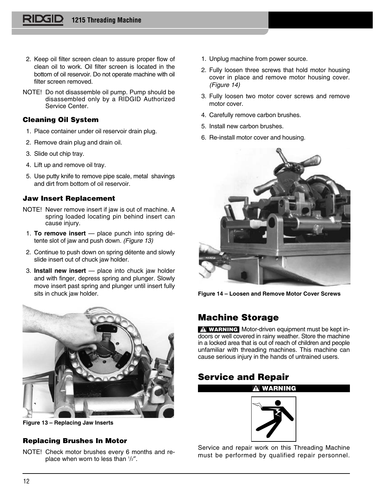- 2. Keep oil filter screen clean to assure proper flow of clean oil to work. Oil filter screen is located in the bottom of oil reservoir. Do not operate machine with oil filter screen removed.
- NOTE! Do not disassemble oil pump. Pump should be disassembled only by a RIDGID Authorized Service Center.

## **Cleaning Oil System**

- 1. Place container under oil reservoir drain plug.
- 2. Remove drain plug and drain oil.
- 3. Slide out chip tray.
- 4. Lift up and remove oil tray.
- 5. Use putty knife to remove pipe scale, metal shavings and dirt from bottom of oil reservoir.

## **Jaw Insert Replacement**

- NOTE! Never remove insert if jaw is out of machine. A spring loaded locating pin behind insert can cause injury.
- 1. **To remove insert** place punch into spring détente slot of jaw and push down. (Figure 13)
- 2. Continue to push down on spring détente and slowly slide insert out of chuck jaw holder.
- 3. **Install new insert** place into chuck jaw holder and with finger, depress spring and plunger. Slowly move insert past spring and plunger until insert fully sits in chuck jaw holder.



**Figure 13 – Replacing Jaw Inserts**

## **Replacing Brushes In Motor**

NOTE! Check motor brushes every 6 months and replace when worn to less than 1 /2″.

- 1. Unplug machine from power source.
- 2. Fully loosen three screws that hold motor housing cover in place and remove motor housing cover. (Figure 14)
- 3. Fully loosen two motor cover screws and remove motor cover.
- 4. Carefully remove carbon brushes.
- 5. Install new carbon brushes.
- 6. Re-install motor cover and housing.



**Figure 14 – Loosen and Remove Motor Cover Screws**

## **Machine Storage**

**WARNING** Motor-driven equipment must be kept indoors or well covered in rainy weather. Store the machine in a locked area that is out of reach of children and people unfamiliar with threading machines. This machine can cause serious injury in the hands of untrained users.

## **Service and Repair**



**WARNING**

Service and repair work on this Threading Machine must be performed by qualified repair personnel.